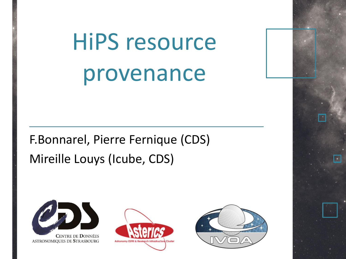# HiPS resource provenance

F.Bonnarel, Pierre Fernique (CDS) Mireille Louys (Icube, CDS)



**CENTRE DE DONNÉES** ASTRONOMIQUES DE STRASBOURG



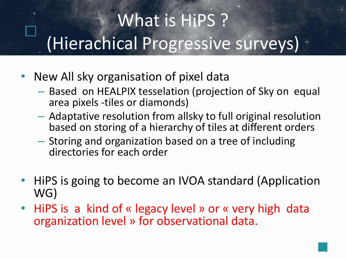# What is HiPS ? (Hierachical Progressive surveys)

- New All sky organisation of pixel data
	- Based on HEALPIX tesselation (projection of Sky on equal area pixels -tiles or diamonds)
	- Adaptative resolution from allsky to full original resolution based on storing of a hierarchy of tiles at different orders
	- Storing and organization based on a tree of including directories for each order
- HiPS is going to become an IVOA standard (Application WG)
- HiPS is a kind of « legacy level » or « very high data organization level » for observational data.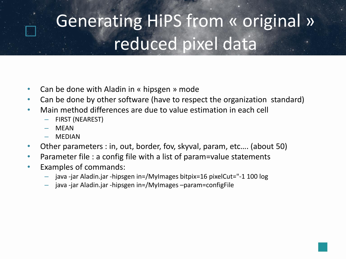### Generating HiPS from « original » reduced pixel data

- Can be done with Aladin in « hipsgen » mode
- Can be done by other software (have to respect the organization standard)
- Main method differences are due to value estimation in each cell
	- FIRST (NEAREST)
	- **MFAN**
	- **MEDIAN**
- Other parameters : in, out, border, fov, skyval, param, etc…. (about 50)
- Parameter file : a config file with a list of param=value statements
- Examples of commands:
	- java -jar Aladin.jar -hipsgen in=/MyImages bitpix=16 pixelCut="-1 100 log
	- java -jar Aladin.jar -hipsgen in=/MyImages –param=configFile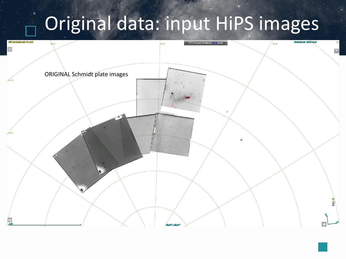# Original data: input HiPS images

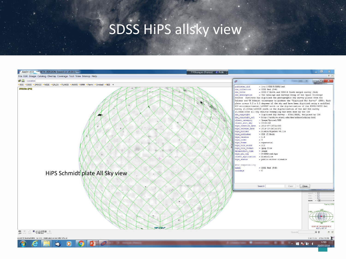#### SDSS HiPS allsky view

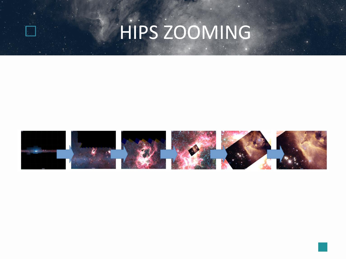

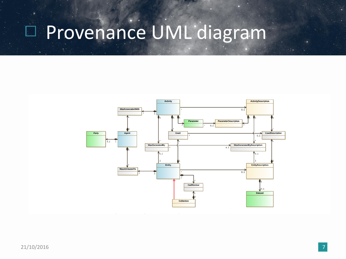## Provenance UML diagram

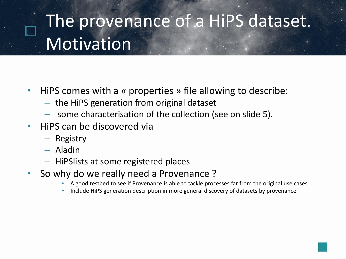#### The provenance of a HiPS dataset. **Motivation**

- HiPS comes with a « properties » file allowing to describe:
	- the HiPS generation from original dataset
	- some characterisation of the collection (see on slide 5).
- HiPS can be discovered via
	- Registry
	- Aladin
	- HiPSlists at some registered places
- So why do we really need a Provenance ?
	- A good testbed to see if Provenance is able to tackle processes far from the original use cases
	- Include HiPS generation description in more general discovery of datasets by provenance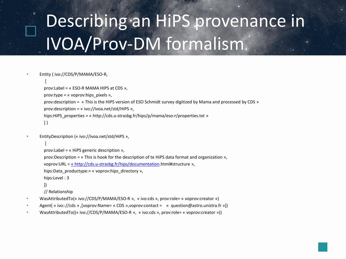```
• Entity ( ivo://CDS/P/MAMA/ESO-R, 
   [
  prov:Label = « ESO-R MAMA HIPS at CDS »,
  prov:type = « voprov:hips_pixels »,
  prov:description = « This is the HiPS version of ESO Schmidt survey digitized by Mama and processed by CDS »
  prov:description = « ivo://ivoa.net/std/HiPS »,
  hips:HiPS_properties = « http://cds.u-strasbg.fr/hips/p/mama/eso-r/properties.txt »
  ] )
```

```
• EntityDescription (« ivo://ivoa.net/std/HiPS »,
```

```
[
```

```
prov:Label = « HiPS generic description »,
```
prov:Description = « This is hook for the description of te HiPS data format and organization »,

voprov:URL = « [http://cds.u-strasbg.fr/hips/documentation](http://cds.u-strasbg.fr/HIPSdoculentation).html#structure »,

```
hips:Data_productype:= « voprov:hips_directory »,
```

```
hips:Level : 3
```
])

// Relationship

- WasAttributedTo(« ivo://CDS/P/MAMA/ESO-R », « ivo:cds », prov:role= « voprov:creator »)
- Agent( « ivo:://cds » ,[voprov:Name= « CDS »,voprov:contact = « question@astro.unistra.fr »])
- WasAttributedTo((« ivo://CDS/P/MAMA/ESO-R », « ivo:cds », prov:role= « voprov:creator »))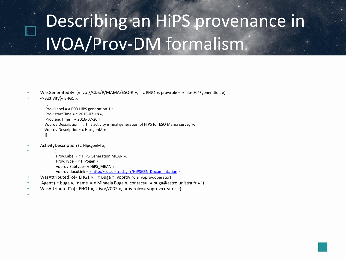```
• WasGeneratedBy (« ivo://CDS/P/MAMA/ESO-R », « EHG1 », prov:role = « hips:HiPSgeneration »)
```

```
• -> Activity(« EHG1 »,
```

```
[
Prov:Label = « ESO HiPS generation 1 »,
Prov:startTime = « 2016-07-18 »,
Prov:endTime = « 2016-07-20 »,
Voprov:Description = « this activity is final generation of HiPS for ESO Mama survey »,
Voprov:Description= « HipsgenM » 
])
```

```
• ActivityDescription (« HipsgenM »,
```

```
• [
```

```
Prov:Label = « HiPS Generation MEAN »,
Prov:Type = « HiPSgen »,
voprov:Subtype= « HiPS_MEAN »
voprov:docuLink = « http://cds.u-strasbg.fr/HiPSGEN-Documentation »
```
- WasAttributedTo(« EHG1 », « Buga », voprov:role=voprov:operator)
- Agent ( « buga », [name = « Mihaela Buga », contact= « buga@astro.unistra.fr » ])
- WasAttributedTo(« EHG1 », « ivo://CDS », prov:role=« voprov:creator »)
- •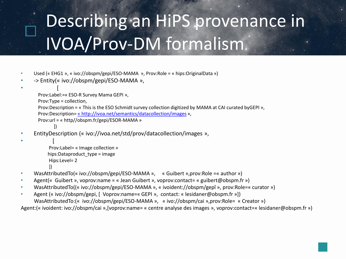- Used (« EHG1 », « ivo://obspm/gepi/ESO-MAMA », Prov:Role = « hips:OriginalData »)
- -> Entity(« ivo://obspm/gepi/ESO-MAMA »,

```
• [
```

```
Prov:Label:=« ESO-R Survey Mama GEPI »,
Prov:Type = collection,
Prov:Description = « This is the ESO Schmidt survey collection digitized by MAMA at CAI curated byGEPI »,
Prov:Description= « http://ivoa.net/semantics/datacollection/images »,
Prov:url = « http//obspm.fr/gepi/ESOR-MAMA »
       ])
```
• EntityDescription (« ivo://ivoa.net/std/prov/datacollection/images »,

```
• [ 
          Prov:Label= « Image collection »
          hips:Dataproduct_type = image
          Hips:Level= 2
           ])
```
- WasAttributedTo(« ivo://obspm/gepi/ESO-MAMA », « Guibert »,prov:Role =« author »)
- Agent(« Guibert », voprov:name = « Jean Guibert », voprov:contact= « guibert@obspm.fr »)
- WasAttributedTo((« ivo://obspm/gepi/ESO-MAMA », « ivoident://obspm/gepî », prov:Role=« curator »)
- Agent (« ivo://obspm/gepi, [ Voprov:name=« GEPI », contact: « lesidaner@obspm.fr »]) WasAttributedTo:(« ivo://obspm/gepi/ESO-MAMA », « ivo://obspm/cai »,prov:Role= « Creator »)

```
Agent:(« ivoident: ivo://obspm/cai »,[voprov:name= « centre analyse des images », voprov:contact=« lesidaner@obspm.fr »)
```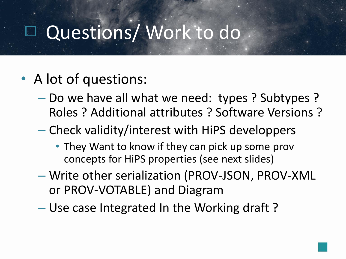### Questions/Work to do

- A lot of questions:
	- Do we have all what we need: types ? Subtypes ? Roles ? Additional attributes ? Software Versions ?
	- Check validity/interest with HiPS developpers
		- They Want to know if they can pick up some prov concepts for HiPS properties (see next slides)
	- Write other serialization (PROV-JSON, PROV-XML or PROV-VOTABLE) and Diagram
	- Use case Integrated In the Working draft ?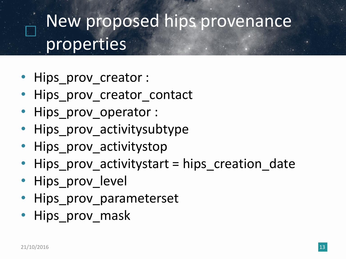#### New proposed hips provenance properties

- Hips\_prov\_creator :
- Hips prov creator contact
- Hips prov operator :
- Hips prov activitysubtype
- Hips prov activitystop
- Hips prov activitystart = hips creation date
- Hips prov level
- Hips prov parameterset
- Hips prov mask